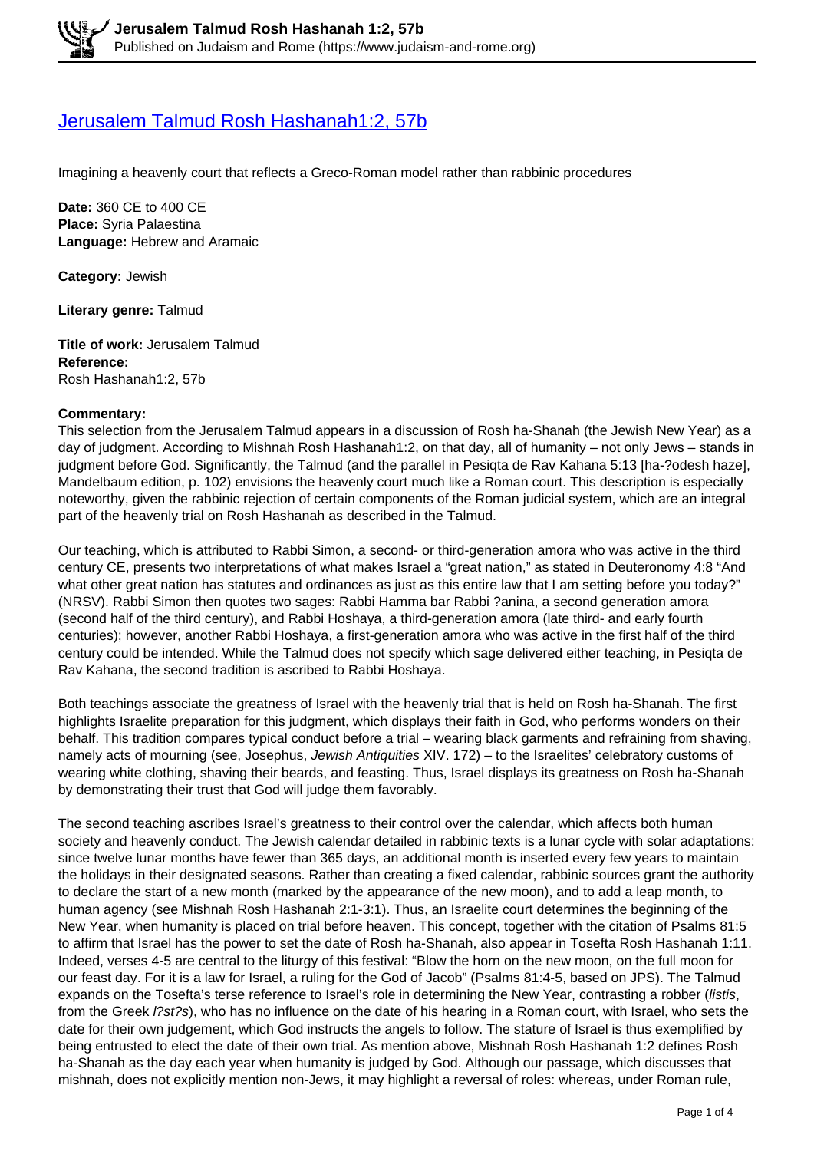# [Jerusalem Talmud Rosh Hashanah1:2, 57b](https://www.judaism-and-rome.org/jerusalem-talmud-rosh-hashanah-12-57b)

Imagining a heavenly court that reflects a Greco-Roman model rather than rabbinic procedures

**Date:** 360 CE to 400 CE **Place:** Syria Palaestina **Language:** Hebrew and Aramaic

**Category:** Jewish

**Literary genre:** Talmud

**Title of work:** Jerusalem Talmud **Reference:**  Rosh Hashanah1:2, 57b

#### **Commentary:**

This selection from the Jerusalem Talmud appears in a discussion of Rosh ha-Shanah (the Jewish New Year) as a day of judgment. According to Mishnah Rosh Hashanah1:2, on that day, all of humanity – not only Jews – stands in judgment before God. Significantly, the Talmud (and the parallel in Pesiqta de Rav Kahana 5:13 [ha-?odesh haze], Mandelbaum edition, p. 102) envisions the heavenly court much like a Roman court. This description is especially noteworthy, given the rabbinic rejection of certain components of the Roman judicial system, which are an integral part of the heavenly trial on Rosh Hashanah as described in the Talmud.

Our teaching, which is attributed to Rabbi Simon, a second- or third-generation amora who was active in the third century CE, presents two interpretations of what makes Israel a "great nation," as stated in Deuteronomy 4:8 "And what other great nation has statutes and ordinances as just as this entire law that I am setting before you today?" (NRSV). Rabbi Simon then quotes two sages: Rabbi Hamma bar Rabbi ?anina, a second generation amora (second half of the third century), and Rabbi Hoshaya, a third-generation amora (late third- and early fourth centuries); however, another Rabbi Hoshaya, a first-generation amora who was active in the first half of the third century could be intended. While the Talmud does not specify which sage delivered either teaching, in Pesiqta de Rav Kahana, the second tradition is ascribed to Rabbi Hoshaya.

Both teachings associate the greatness of Israel with the heavenly trial that is held on Rosh ha-Shanah. The first highlights Israelite preparation for this judgment, which displays their faith in God, who performs wonders on their behalf. This tradition compares typical conduct before a trial – wearing black garments and refraining from shaving, namely acts of mourning (see, Josephus, Jewish Antiquities XIV. 172) – to the Israelites' celebratory customs of wearing white clothing, shaving their beards, and feasting. Thus, Israel displays its greatness on Rosh ha-Shanah by demonstrating their trust that God will judge them favorably.

The second teaching ascribes Israel's greatness to their control over the calendar, which affects both human society and heavenly conduct. The Jewish calendar detailed in rabbinic texts is a lunar cycle with solar adaptations: since twelve lunar months have fewer than 365 days, an additional month is inserted every few years to maintain the holidays in their designated seasons. Rather than creating a fixed calendar, rabbinic sources grant the authority to declare the start of a new month (marked by the appearance of the new moon), and to add a leap month, to human agency (see Mishnah Rosh Hashanah 2:1-3:1). Thus, an Israelite court determines the beginning of the New Year, when humanity is placed on trial before heaven. This concept, together with the citation of Psalms 81:5 to affirm that Israel has the power to set the date of Rosh ha-Shanah, also appear in Tosefta Rosh Hashanah 1:11. Indeed, verses 4-5 are central to the liturgy of this festival: "Blow the horn on the new moon, on the full moon for our feast day. For it is a law for Israel, a ruling for the God of Jacob" (Psalms 81:4-5, based on JPS). The Talmud expands on the Tosefta's terse reference to Israel's role in determining the New Year, contrasting a robber (listis, from the Greek l?st?s), who has no influence on the date of his hearing in a Roman court, with Israel, who sets the date for their own judgement, which God instructs the angels to follow. The stature of Israel is thus exemplified by being entrusted to elect the date of their own trial. As mention above, Mishnah Rosh Hashanah 1:2 defines Rosh ha-Shanah as the day each year when humanity is judged by God. Although our passage, which discusses that mishnah, does not explicitly mention non-Jews, it may highlight a reversal of roles: whereas, under Roman rule,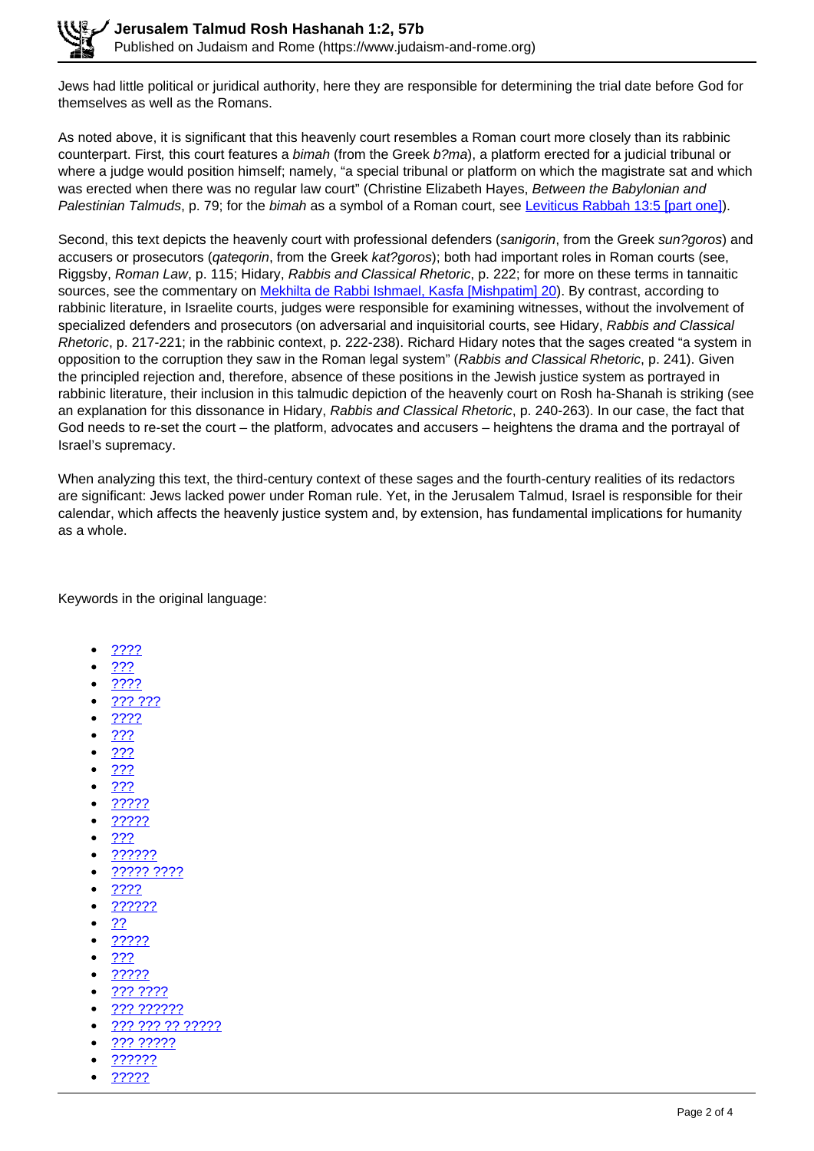Jews had little political or juridical authority, here they are responsible for determining the trial date before God for themselves as well as the Romans.

As noted above, it is significant that this heavenly court resembles a Roman court more closely than its rabbinic counterpart. First, this court features a bimah (from the Greek b?ma), a platform erected for a judicial tribunal or where a judge would position himself; namely, "a special tribunal or platform on which the magistrate sat and which was erected when there was no regular law court" (Christine Elizabeth Hayes, Between the Babylonian and Palestinian Talmuds, p. 79; for the bimah as a symbol of a Roman court, see Leviticus Rabbah 13:5 [part one]).

Second, this text depicts the heavenly court with professional defenders (sanigorin, from the Greek sun?goros) and accusers or prosecutors (*qateqorin*, from the Greek kat?goros); both had important roles in Roman courts (see, Riggsby, Roman Law, p. 115; Hidary, Rabbis and Classical Rhetoric, p. 222; for more on these terms in tannaitic sources, see the commentary on **Mekhilta de Rabbi Ishmael, Kasfa [Mishpatim] 20**). By contrast, according to rabbinic literature, in Israelite courts, judges were responsible for examining witnesses, without the involvement of specialized defenders and prosecutors (on adversarial and inquisitorial courts, see Hidary, Rabbis and Classical Rhetoric, p. 217-221; in the rabbinic context, p. 222-238). Richard Hidary notes that the sages created "a system in opposition to the corruption they saw in the Roman legal system" (Rabbis and Classical Rhetoric, p. 241). Given the principled rejection and, therefore, absence of these positions in the Jewish justice system as portrayed in rabbinic literature, their inclusion in this talmudic depiction of the heavenly court on Rosh ha-Shanah is striking (see an explanation for this dissonance in Hidary, Rabbis and Classical Rhetoric, p. 240-263). In our case, the fact that God needs to re-set the court – the platform, advocates and accusers – heightens the drama and the portrayal of Israel's supremacy.

When analyzing this text, the third-century context of these sages and the fourth-century realities of its redactors are significant: Jews lacked power under Roman rule. Yet, in the Jerusalem Talmud, Israel is responsible for their calendar, which affects the heavenly justice system and, by extension, has fundamental implications for humanity as a whole.

Keywords in the original language:

- ????
- ???
- ????
- ??? ???
- ????
- ???
- ???
- ???
- ???
- ?????
- ?????
- ???
- ??????
- ????? ????
- ????
- ??????
- ??
- ?????
- ???
- ?????
- ??? ????
- ??? ??????
- ??? ??? ?? ?????
- ??? ?????
- ??????
- ?????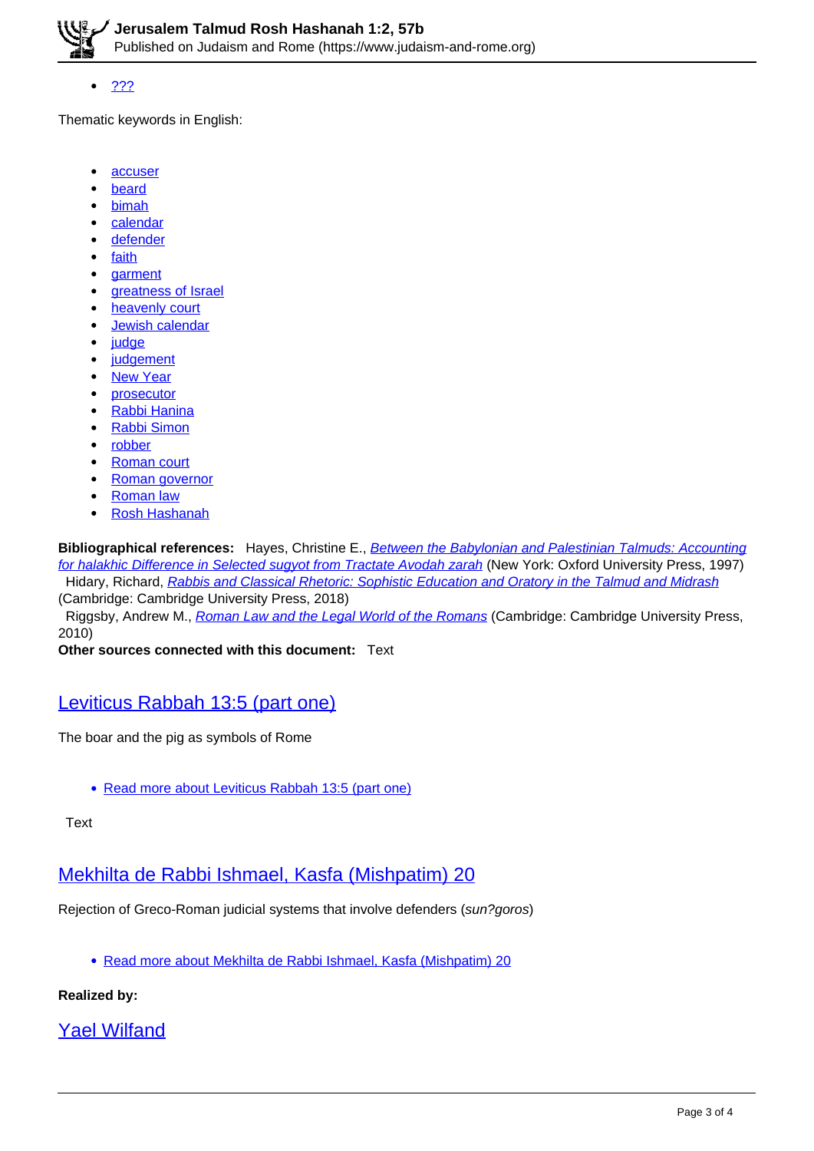

???

Thematic keywords in English:

- $\bullet$ **accuser**
- beard
- bimah
- calendar
- defender
- faith
- **garment**
- greatness of Israel
- heavenly court
- Jewish calendar
- judge
- **judgement**
- New Year
- prosecutor
- Rabbi Hanina
- Rabbi Simon
- robber
- Roman court
- Roman governor
- Roman law
- Rosh Hashanah

**Bibliographical references:** Hayes, Christine E., Between the Babylonian and Palestinian Talmuds: Accounting for halakhic Difference in Selected sugyot from Tractate Avodah zarah (New York: Oxford University Press, 1997) Hidary, Richard, Rabbis and Classical Rhetoric: Sophistic Education and Oratory in the Talmud and Midrash (Cambridge: Cambridge University Press, 2018)

Riggsby, Andrew M., Roman Law and the Legal World of the Romans (Cambridge: Cambridge University Press, 2010)

**Other sources connected with this document:** Text

## Leviticus Rabbah 13:5 (part one)

The boar and the pig as symbols of Rome

• Read more about Leviticus Rabbah 13:5 (part one)

#### Text

# Mekhilta de Rabbi Ishmael, Kasfa (Mishpatim) 20

Rejection of Greco-Roman judicial systems that involve defenders (sun?goros)

Read more about Mekhilta de Rabbi Ishmael, Kasfa (Mishpatim) 20

### **Realized by:**

# Yael Wilfand